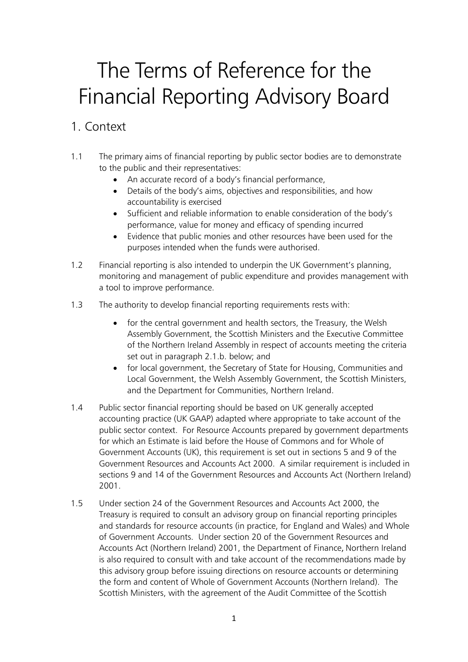# The Terms of Reference for the Financial Reporting Advisory Board

## 1. Context

- 1.1 The primary aims of financial reporting by public sector bodies are to demonstrate to the public and their representatives:
	- An accurate record of a body's financial performance,
	- Details of the body's aims, objectives and responsibilities, and how accountability is exercised
	- Sufficient and reliable information to enable consideration of the body's performance, value for money and efficacy of spending incurred
	- Evidence that public monies and other resources have been used for the purposes intended when the funds were authorised.
- 1.2 Financial reporting is also intended to underpin the UK Government's planning, monitoring and management of public expenditure and provides management with a tool to improve performance.
- 1.3 The authority to develop financial reporting requirements rests with:
	- for the central government and health sectors, the Treasury, the Welsh Assembly Government, the Scottish Ministers and the Executive Committee of the Northern Ireland Assembly in respect of accounts meeting the criteria set out in paragraph 2.1.b. below; and
	- for local government, the Secretary of State for Housing, Communities and Local Government, the Welsh Assembly Government, the Scottish Ministers, and the Department for Communities, Northern Ireland.
- 1.4 Public sector financial reporting should be based on UK generally accepted accounting practice (UK GAAP) adapted where appropriate to take account of the public sector context. For Resource Accounts prepared by government departments for which an Estimate is laid before the House of Commons and for Whole of Government Accounts (UK), this requirement is set out in sections 5 and 9 of the Government Resources and Accounts Act 2000. A similar requirement is included in sections 9 and 14 of the Government Resources and Accounts Act (Northern Ireland) 2001.
- 1.5 Under section 24 of the Government Resources and Accounts Act 2000, the Treasury is required to consult an advisory group on financial reporting principles and standards for resource accounts (in practice, for England and Wales) and Whole of Government Accounts. Under section 20 of the Government Resources and Accounts Act (Northern Ireland) 2001, the Department of Finance, Northern Ireland is also required to consult with and take account of the recommendations made by this advisory group before issuing directions on resource accounts or determining the form and content of Whole of Government Accounts (Northern Ireland). The Scottish Ministers, with the agreement of the Audit Committee of the Scottish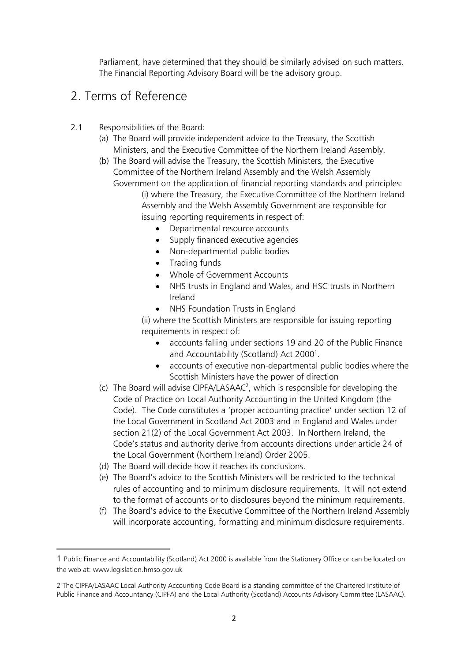Parliament, have determined that they should be similarly advised on such matters. The Financial Reporting Advisory Board will be the advisory group.

## 2. Terms of Reference

- 2.1 Responsibilities of the Board:
	- (a) The Board will provide independent advice to the Treasury, the Scottish Ministers, and the Executive Committee of the Northern Ireland Assembly.
	- (b) The Board will advise the Treasury, the Scottish Ministers, the Executive Committee of the Northern Ireland Assembly and the Welsh Assembly Government on the application of financial reporting standards and principles: (i) where the Treasury, the Executive Committee of the Northern Ireland Assembly and the Welsh Assembly Government are responsible for issuing reporting requirements in respect of:
		- Departmental resource accounts
		- Supply financed executive agencies
		- Non-departmental public bodies
		- Trading funds
		- Whole of Government Accounts
		- NHS trusts in England and Wales, and HSC trusts in Northern Ireland
		- NHS Foundation Trusts in England

(ii) where the Scottish Ministers are responsible for issuing reporting requirements in respect of:

- accounts falling under sections 19 and 20 of the Public Finance and Accountability (Scotland) Act 2000<sup>1</sup>.
- accounts of executive non-departmental public bodies where the Scottish Ministers have the power of direction
- (c) The Board will advise CIPFA/LASAAC<sup>2</sup>, which is responsible for developing the Code of Practice on Local Authority Accounting in the United Kingdom (the Code). The Code constitutes a 'proper accounting practice' under section 12 of the Local Government in Scotland Act 2003 and in England and Wales under section 21(2) of the Local Government Act 2003. In Northern Ireland, the Code's status and authority derive from accounts directions under article 24 of the Local Government (Northern Ireland) Order 2005.
- (d) The Board will decide how it reaches its conclusions.

**.** 

- (e) The Board's advice to the Scottish Ministers will be restricted to the technical rules of accounting and to minimum disclosure requirements. It will not extend to the format of accounts or to disclosures beyond the minimum requirements.
- (f) The Board's advice to the Executive Committee of the Northern Ireland Assembly will incorporate accounting, formatting and minimum disclosure requirements.

<sup>1</sup> Public Finance and Accountability (Scotland) Act 2000 is available from the Stationery Office or can be located on the web at: www.legislation.hmso.gov.uk

<sup>2</sup> The CIPFA/LASAAC Local Authority Accounting Code Board is a standing committee of the Chartered Institute of Public Finance and Accountancy (CIPFA) and the Local Authority (Scotland) Accounts Advisory Committee (LASAAC).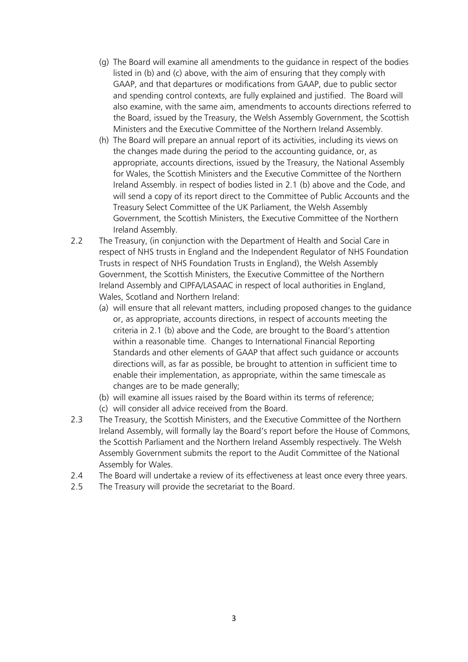- (g) The Board will examine all amendments to the guidance in respect of the bodies listed in (b) and (c) above, with the aim of ensuring that they comply with GAAP, and that departures or modifications from GAAP, due to public sector and spending control contexts, are fully explained and justified. The Board will also examine, with the same aim, amendments to accounts directions referred to the Board, issued by the Treasury, the Welsh Assembly Government, the Scottish Ministers and the Executive Committee of the Northern Ireland Assembly.
- (h) The Board will prepare an annual report of its activities, including its views on the changes made during the period to the accounting guidance, or, as appropriate, accounts directions, issued by the Treasury, the National Assembly for Wales, the Scottish Ministers and the Executive Committee of the Northern Ireland Assembly. in respect of bodies listed in 2.1 (b) above and the Code, and will send a copy of its report direct to the Committee of Public Accounts and the Treasury Select Committee of the UK Parliament, the Welsh Assembly Government, the Scottish Ministers, the Executive Committee of the Northern Ireland Assembly.
- 2.2 The Treasury, (in conjunction with the Department of Health and Social Care in respect of NHS trusts in England and the Independent Regulator of NHS Foundation Trusts in respect of NHS Foundation Trusts in England), the Welsh Assembly Government, the Scottish Ministers, the Executive Committee of the Northern Ireland Assembly and CIPFA/LASAAC in respect of local authorities in England, Wales, Scotland and Northern Ireland:
	- (a) will ensure that all relevant matters, including proposed changes to the guidance or, as appropriate, accounts directions, in respect of accounts meeting the criteria in 2.1 (b) above and the Code, are brought to the Board's attention within a reasonable time. Changes to International Financial Reporting Standards and other elements of GAAP that affect such guidance or accounts directions will, as far as possible, be brought to attention in sufficient time to enable their implementation, as appropriate, within the same timescale as changes are to be made generally;
	- (b) will examine all issues raised by the Board within its terms of reference;
	- (c) will consider all advice received from the Board.
- 2.3 The Treasury, the Scottish Ministers, and the Executive Committee of the Northern Ireland Assembly, will formally lay the Board's report before the House of Commons, the Scottish Parliament and the Northern Ireland Assembly respectively. The Welsh Assembly Government submits the report to the Audit Committee of the National Assembly for Wales.
- 2.4 The Board will undertake a review of its effectiveness at least once every three years.
- 2.5 The Treasury will provide the secretariat to the Board.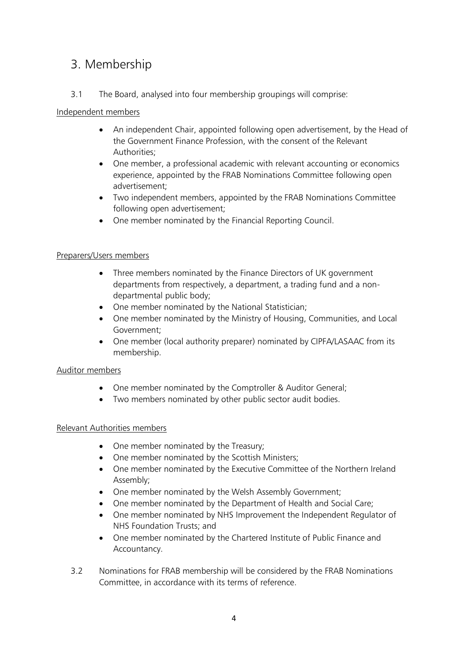## 3. Membership

3.1 The Board, analysed into four membership groupings will comprise:

#### Independent members

- An independent Chair, appointed following open advertisement, by the Head of the Government Finance Profession, with the consent of the Relevant Authorities;
- One member, a professional academic with relevant accounting or economics experience, appointed by the FRAB Nominations Committee following open advertisement;
- Two independent members, appointed by the FRAB Nominations Committee following open advertisement;
- One member nominated by the Financial Reporting Council.

#### Preparers/Users members

- Three members nominated by the Finance Directors of UK government departments from respectively, a department, a trading fund and a nondepartmental public body;
- One member nominated by the National Statistician;
- One member nominated by the Ministry of Housing, Communities, and Local Government;
- One member (local authority preparer) nominated by CIPFA/LASAAC from its membership.

#### Auditor members

- One member nominated by the Comptroller & Auditor General;
- Two members nominated by other public sector audit bodies.

#### Relevant Authorities members

- One member nominated by the Treasury;
- One member nominated by the Scottish Ministers;
- One member nominated by the Executive Committee of the Northern Ireland Assembly;
- One member nominated by the Welsh Assembly Government;
- One member nominated by the Department of Health and Social Care;
- One member nominated by NHS Improvement the Independent Regulator of NHS Foundation Trusts; and
- One member nominated by the Chartered Institute of Public Finance and Accountancy.
- 3.2 Nominations for FRAB membership will be considered by the FRAB Nominations Committee, in accordance with its terms of reference.